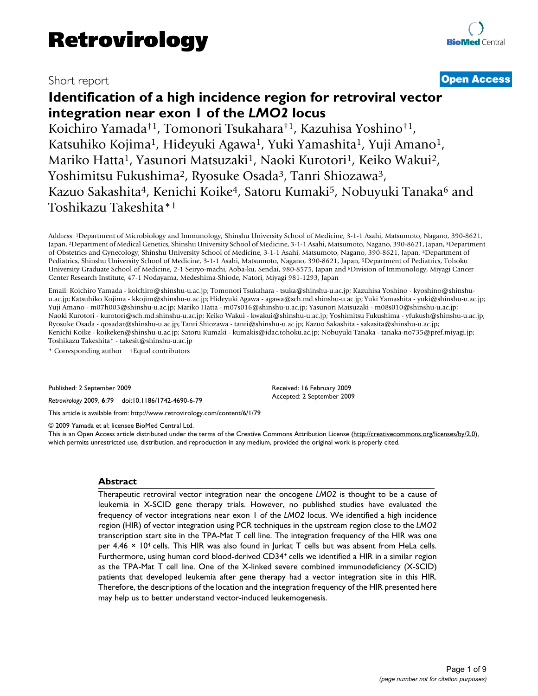# Short report **[Open Access](http://www.biomedcentral.com/info/about/charter/)**

# **Identification of a high incidence region for retroviral vector integration near exon 1 of the** *LMO2* **locus**

Koichiro Yamada†1, Tomonori Tsukahara†1, Kazuhisa Yoshino†1, Katsuhiko Kojima<sup>1</sup>, Hideyuki Agawa<sup>1</sup>, Yuki Yamashita<sup>1</sup>, Yuji Amano<sup>1</sup>, Mariko Hatta<sup>1</sup>, Yasunori Matsuzaki<sup>1</sup>, Naoki Kurotori<sup>1</sup>, Keiko Wakui<sup>2</sup>, Yoshimitsu Fukushima<sup>2</sup>, Ryosuke Osada<sup>3</sup>, Tanri Shiozawa<sup>3</sup>, Kazuo Sakashita<sup>4</sup>, Kenichi Koike<sup>4</sup>, Satoru Kumaki<sup>5</sup>, Nobuyuki Tanaka<sup>6</sup> and Toshikazu Takeshita\*1

Address: 1Department of Microbiology and Immunology, Shinshu University School of Medicine, 3-1-1 Asahi, Matsumoto, Nagano, 390-8621, Japan, 2Department of Medical Genetics, Shinshu University School of Medicine, 3-1-1 Asahi, Matsumoto, Nagano, 390-8621, Japan, 3Department of Obstetrics and Gynecology, Shinshu University School of Medicine, 3-1-1 Asahi, Matsumoto, Nagano, 390-8621, Japan, 4Department of Pediatrics, Shinshu University School of Medicine, 3-1-1 Asahi, Matsumoto, Nagano, 390-8621, Japan, 5Department of Pediatrics, Tohoku University Graduate School of Medicine, 2-1 Seiryo-machi, Aoba-ku, Sendai, 980-8575, Japan and 6Division of Immunology, Miyagi Cancer Center Research Institute, 47-1 Nodayama, Medeshima-Shiode, Natori, Miyagi 981-1293, Japan

Email: Koichiro Yamada - koichiro@shinshu-u.ac.jp; Tomonori Tsukahara - tsuka@shinshu-u.ac.jp; Kazuhisa Yoshino - kyoshino@shinshuu.ac.jp; Katsuhiko Kojima - kkojim@shinshu-u.ac.jp; Hideyuki Agawa - agawa@sch.md.shinshu-u.ac.jp; Yuki Yamashita - yuki@shinshu-u.ac.jp; Yuji Amano - m07h003@shinshu-u.ac.jp; Mariko Hatta - m07s016@shinshu-u.ac.jp; Yasunori Matsuzaki - m08s010@shinshu-u.ac.jp; Naoki Kurotori - kurotori@sch.md.shinshu-u.ac.jp; Keiko Wakui - kwakui@shinshu-u.ac.jp; Yoshimitsu Fukushima - yfukush@shinshu-u.ac.jp; Ryosuke Osada - qosadar@shinshu-u.ac.jp; Tanri Shiozawa - tanri@shinshu-u.ac.jp; Kazuo Sakashita - sakasita@shinshu-u.ac.jp; Kenichi Koike - koikeken@shinshu-u.ac.jp; Satoru Kumaki - kumakis@idac.tohoku.ac.jp; Nobuyuki Tanaka - tanaka-no735@pref.miyagi.jp; Toshikazu Takeshita\* - takesit@shinshu-u.ac.jp

\* Corresponding author †Equal contributors

Published: 2 September 2009

*Retrovirology* 2009, **6**:79 doi:10.1186/1742-4690-6-79

[This article is available from: http://www.retrovirology.com/content/6/1/79](http://www.retrovirology.com/content/6/1/79)

© 2009 Yamada et al; licensee BioMed Central Ltd.

This is an Open Access article distributed under the terms of the Creative Commons Attribution License [\(http://creativecommons.org/licenses/by/2.0\)](http://creativecommons.org/licenses/by/2.0), which permits unrestricted use, distribution, and reproduction in any medium, provided the original work is properly cited.

Received: 16 February 2009 Accepted: 2 September 2009

#### **Abstract**

Therapeutic retroviral vector integration near the oncogene *LMO2* is thought to be a cause of leukemia in X-SCID gene therapy trials. However, no published studies have evaluated the frequency of vector integrations near exon 1 of the *LMO2* locus. We identified a high incidence region (HIR) of vector integration using PCR techniques in the upstream region close to the *LMO2* transcription start site in the TPA-Mat T cell line. The integration frequency of the HIR was one per 4.46 × 104 cells. This HIR was also found in Jurkat T cells but was absent from HeLa cells. Furthermore, using human cord blood-derived CD34<sup>+</sup> cells we identified a HIR in a similar region as the TPA-Mat T cell line. One of the X-linked severe combined immunodeficiency (X-SCID) patients that developed leukemia after gene therapy had a vector integration site in this HIR. Therefore, the descriptions of the location and the integration frequency of the HIR presented here may help us to better understand vector-induced leukemogenesis.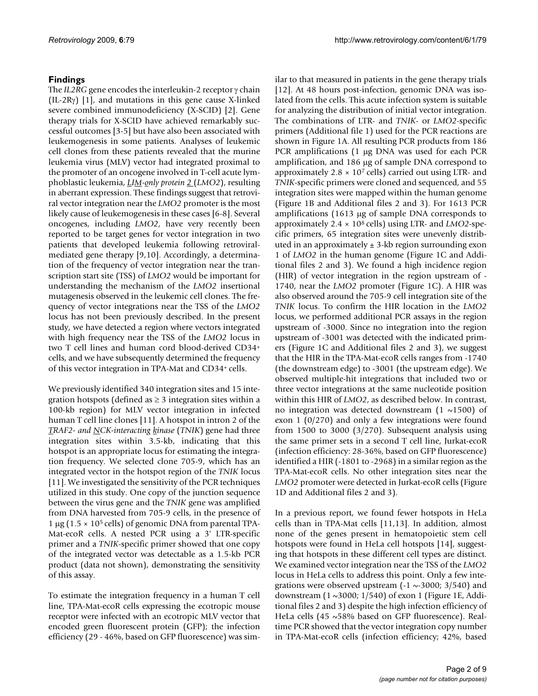# **Findings**

The *IL2RG* gene encodes the interleukin-2 receptor γ chain (IL-2R $\gamma$ ) [1], and mutations in this gene cause X-linked severe combined immunodeficiency (X-SCID) [2]. Gene therapy trials for X-SCID have achieved remarkably successful outcomes [3-5] but have also been associated with leukemogenesis in some patients. Analyses of leukemic cell clones from these patients revealed that the murine leukemia virus (MLV) vector had integrated proximal to the promoter of an oncogene involved in T-cell acute lymphoblastic leukemia, *LIM-only protein 2* (*LMO2*), resulting in aberrant expression. These findings suggest that retroviral vector integration near the *LMO2* promoter is the most likely cause of leukemogenesis in these cases [6-8]. Several oncogenes, including *LMO2*, have very recently been reported to be target genes for vector integration in two patients that developed leukemia following retroviralmediated gene therapy [9,10]. Accordingly, a determination of the frequency of vector integration near the transcription start site (TSS) of *LMO2* would be important for understanding the mechanism of the *LMO2* insertional mutagenesis observed in the leukemic cell clones. The frequency of vector integrations near the TSS of the *LMO2* locus has not been previously described. In the present study, we have detected a region where vectors integrated with high frequency near the TSS of the *LMO2* locus in two T cell lines and human cord blood-derived CD34+ cells, and we have subsequently determined the frequency of this vector integration in TPA-Mat and CD34+ cells.

We previously identified 340 integration sites and 15 integration hotspots (defined as  $\geq$  3 integration sites within a 100-kb region) for MLV vector integration in infected human T cell line clones [11]. A hotspot in intron 2 of the *TRAF2- and NCK-interacting kinase* (*TNIK*) gene had three integration sites within 3.5-kb, indicating that this hotspot is an appropriate locus for estimating the integration frequency. We selected clone 705-9, which has an integrated vector in the hotspot region of the *TNIK* locus [11]. We investigated the sensitivity of the PCR techniques utilized in this study. One copy of the junction sequence between the virus gene and the *TNIK* gene was amplified from DNA harvested from 705-9 cells, in the presence of 1 μg ( $1.5 \times 10^5$  cells) of genomic DNA from parental TPA-Mat-ecoR cells. A nested PCR using a 3' LTR-specific primer and a *TNIK*-specific primer showed that one copy of the integrated vector was detectable as a 1.5-kb PCR product (data not shown), demonstrating the sensitivity of this assay.

To estimate the integration frequency in a human T cell line, TPA-Mat-ecoR cells expressing the ecotropic mouse receptor were infected with an ecotropic MLV vector that encoded green fluorescent protein (GFP); the infection efficiency (29 - 46%, based on GFP fluorescence) was similar to that measured in patients in the gene therapy trials [12]. At 48 hours post-infection, genomic DNA was isolated from the cells. This acute infection system is suitable for analyzing the distribution of initial vector integration. The combinations of LTR- and *TNIK*- or *LMO2*-specific primers (Additional file 1) used for the PCR reactions are shown in Figure 1A. All resulting PCR products from 186 PCR amplifications (1 μg DNA was used for each PCR amplification, and 186 μg of sample DNA correspond to approximately  $2.8 \times 10^7$  cells) carried out using LTR- and *TNIK*-specific primers were cloned and sequenced, and 55 integration sites were mapped within the human genome (Figure 1B and Additional files 2 and 3). For 1613 PCR amplifications (1613 μg of sample DNA corresponds to approximately 2.4 × 108 cells) using LTR- and *LMO2*-specific primers, 65 integration sites were unevenly distributed in an approximately  $\pm$  3-kb region surrounding exon 1 of *LMO2* in the human genome (Figure 1C and Additional files 2 and 3). We found a high incidence region (HIR) of vector integration in the region upstream of - 1740, near the *LMO2* promoter (Figure 1C). A HIR was also observed around the 705-9 cell integration site of the *TNIK* locus. To confirm the HIR location in the *LMO2* locus, we performed additional PCR assays in the region upstream of -3000. Since no integration into the region upstream of -3001 was detected with the indicated primers (Figure 1C and Additional files 2 and 3), we suggest that the HIR in the TPA-Mat-ecoR cells ranges from -1740 (the downstream edge) to -3001 (the upstream edge). We observed multiple-hit integrations that included two or three vector integrations at the same nucleotide position within this HIR of *LMO2*, as described below. In contrast, no integration was detected downstream  $(1 \sim 1500)$  of exon 1 (0/270) and only a few integrations were found from 1500 to 3000 (3/270). Subsequent analysis using the same primer sets in a second T cell line, Jurkat-ecoR (infection efficiency: 28-36%, based on GFP fluorescence) identified a HIR (-1801 to -2968) in a similar region as the TPA-Mat-ecoR cells. No other integration sites near the *LMO2* promoter were detected in Jurkat-ecoR cells (Figure 1D and Additional files 2 and 3).

In a previous report, we found fewer hotspots in HeLa cells than in TPA-Mat cells [11,13]. In addition, almost none of the genes present in hematopoietic stem cell hotspots were found in HeLa cell hotspots [14], suggesting that hotspots in these different cell types are distinct. We examined vector integration near the TSS of the *LMO2* locus in HeLa cells to address this point. Only a few integrations were observed upstream  $(-1 \sim 3000; 3/540)$  and downstream  $(1 \sim 3000; 1/540)$  of exon 1 (Figure 1E, Additional files 2 and 3) despite the high infection efficiency of HeLa cells (45 ~58% based on GFP fluorescence). Realtime PCR showed that the vector integration copy number in TPA-Mat-ecoR cells (infection efficiency; 42%, based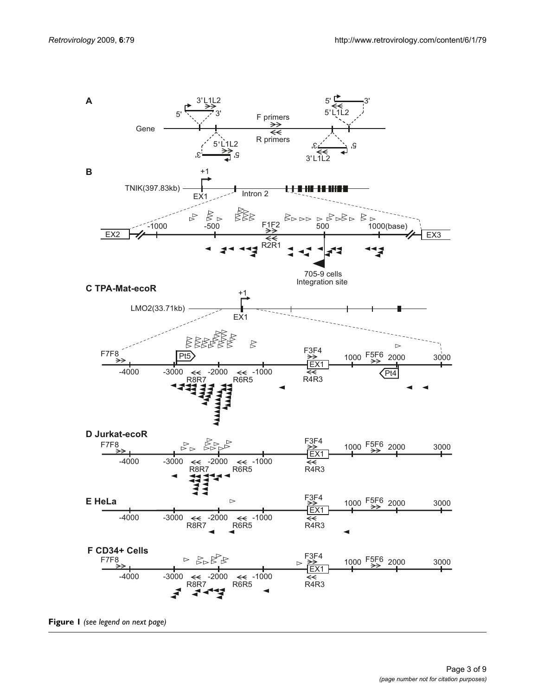

**Figure 1** *(see legend on next page)*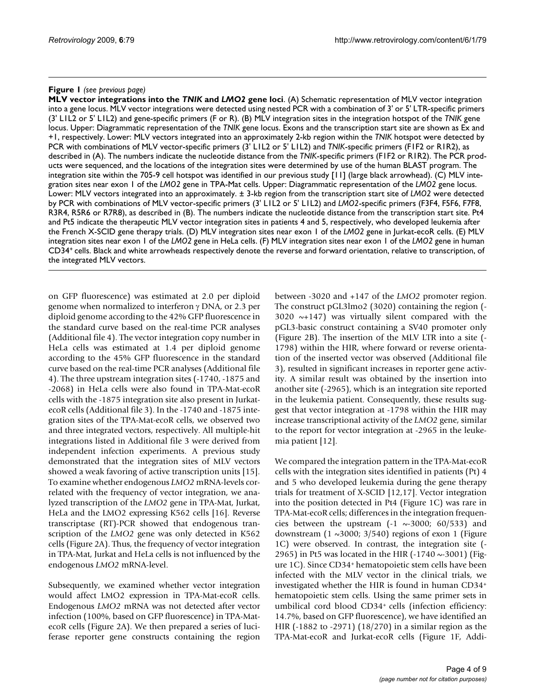### **Figure 1** (see previous page)

**MLV vector integrations into the** *TNIK* **and** *LMO2* **gene loci**. (A) Schematic representation of MLV vector integration into a gene locus. MLV vector integrations were detected using nested PCR with a combination of 3' or 5' LTR-specific primers (3' L1L2 or 5' L1L2) and gene-specific primers (F or R). (B) MLV integration sites in the integration hotspot of the *TNIK* gene locus. Upper: Diagrammatic representation of the *TNIK* gene locus. Exons and the transcription start site are shown as Ex and +1, respectively. Lower: MLV vectors integrated into an approximately 2-kb region within the *TNIK* hotspot were detected by PCR with combinations of MLV vector-specific primers (3' L1L2 or 5' L1L2) and *TNIK*-specific primers (F1F2 or R1R2), as described in (A). The numbers indicate the nucleotide distance from the *TNIK*-specific primers (F1F2 or R1R2). The PCR products were sequenced, and the locations of the integration sites were determined by use of the human BLAST program. The integration site within the 705-9 cell hotspot was identified in our previous study [11] (large black arrowhead). (C) MLV integration sites near exon 1 of the *LMO2* gene in TPA-Mat cells. Upper: Diagrammatic representation of the *LMO2* gene locus. Lower: MLV vectors integrated into an approximately. ± 3-kb region from the transcription start site of *LMO2* were detected by PCR with combinations of MLV vector-specific primers (3' L1L2 or 5' L1L2) and *LMO2*-specific primers (F3F4, F5F6, F7F8, R3R4, R5R6 or R7R8), as described in (B). The numbers indicate the nucleotide distance from the transcription start site. Pt4 and Pt5 indicate the therapeutic MLV vector integration sites in patients 4 and 5, respectively, who developed leukemia after the French X-SCID gene therapy trials. (D) MLV integration sites near exon 1 of the *LMO2* gene in Jurkat-ecoR cells. (E) MLV integration sites near exon 1 of the *LMO2* gene in HeLa cells. (F) MLV integration sites near exon 1 of the *LMO2* gene in human CD34+ cells. Black and white arrowheads respectively denote the reverse and forward orientation, relative to transcription, of the integrated MLV vectors.

on GFP fluorescence) was estimated at 2.0 per diploid genome when normalized to interferon γ DNA, or 2.3 per diploid genome according to the 42% GFP fluorescence in the standard curve based on the real-time PCR analyses (Additional file 4). The vector integration copy number in HeLa cells was estimated at 1.4 per diploid genome according to the 45% GFP fluorescence in the standard curve based on the real-time PCR analyses (Additional file 4). The three upstream integration sites (-1740, -1875 and -2068) in HeLa cells were also found in TPA-Mat-ecoR cells with the -1875 integration site also present in JurkatecoR cells (Additional file 3). In the -1740 and -1875 integration sites of the TPA-Mat-ecoR cells, we observed two and three integrated vectors, respectively. All multiple-hit integrations listed in Additional file 3 were derived from independent infection experiments. A previous study demonstrated that the integration sites of MLV vectors showed a weak favoring of active transcription units [15]. To examine whether endogenous *LMO2* mRNA-levels correlated with the frequency of vector integration, we analyzed transcription of the *LMO2* gene in TPA-Mat, Jurkat, HeLa and the LMO2 expressing K562 cells [16]. Reverse transcriptase (RT)-PCR showed that endogenous transcription of the *LMO2* gene was only detected in K562 cells (Figure 2A). Thus, the frequency of vector integration in TPA-Mat, Jurkat and HeLa cells is not influenced by the endogenous *LMO2* mRNA-level.

Subsequently, we examined whether vector integration would affect LMO2 expression in TPA-Mat-ecoR cells. Endogenous *LMO2* mRNA was not detected after vector infection (100%, based on GFP fluorescence) in TPA-MatecoR cells (Figure 2A). We then prepared a series of luciferase reporter gene constructs containing the region between -3020 and +147 of the *LMO2* promoter region. The construct pGL3lmo2 (3020) containing the region (- 3020  $\sim +147$ ) was virtually silent compared with the pGL3-basic construct containing a SV40 promoter only (Figure 2B). The insertion of the MLV LTR into a site (- 1798) within the HIR, where forward or reverse orientation of the inserted vector was observed (Additional file 3), resulted in significant increases in reporter gene activity. A similar result was obtained by the insertion into another site (-2965), which is an integration site reported in the leukemia patient. Consequently, these results suggest that vector integration at -1798 within the HIR may increase transcriptional activity of the *LMO2* gene, similar to the report for vector integration at -2965 in the leukemia patient [12].

We compared the integration pattern in the TPA-Mat-ecoR cells with the integration sites identified in patients (Pt) 4 and 5 who developed leukemia during the gene therapy trials for treatment of X-SCID [12,17]. Vector integration into the position detected in Pt4 (Figure 1C) was rare in TPA-Mat-ecoR cells; differences in the integration frequencies between the upstream  $(-1 \sim 3000; 60/533)$  and downstream  $(1 \sim 3000; 3/540)$  regions of exon 1 (Figure 1C) were observed. In contrast, the integration site (- 2965) in Pt5 was located in the HIR  $(-1740 \sim 3001)$  (Figure 1C). Since CD34+ hematopoietic stem cells have been infected with the MLV vector in the clinical trials, we investigated whether the HIR is found in human CD34+ hematopoietic stem cells. Using the same primer sets in umbilical cord blood CD34+ cells (infection efficiency: 14.7%, based on GFP fluorescence), we have identified an HIR (-1882 to -2971) (18/270) in a similar region as the TPA-Mat-ecoR and Jurkat-ecoR cells (Figure 1F, Addi-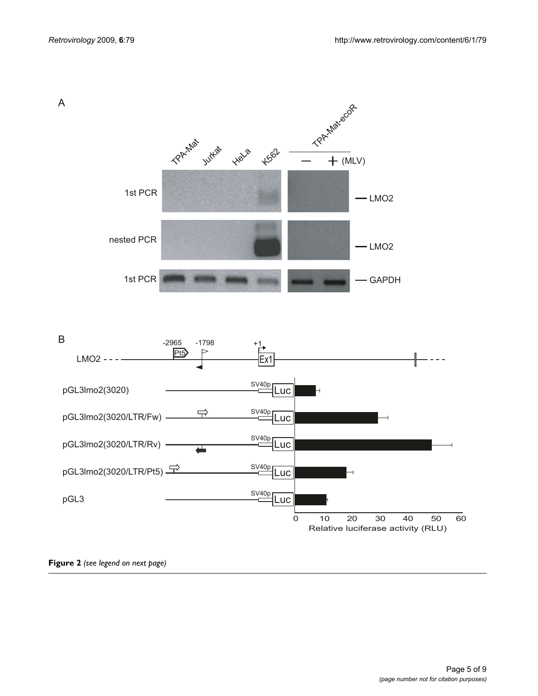



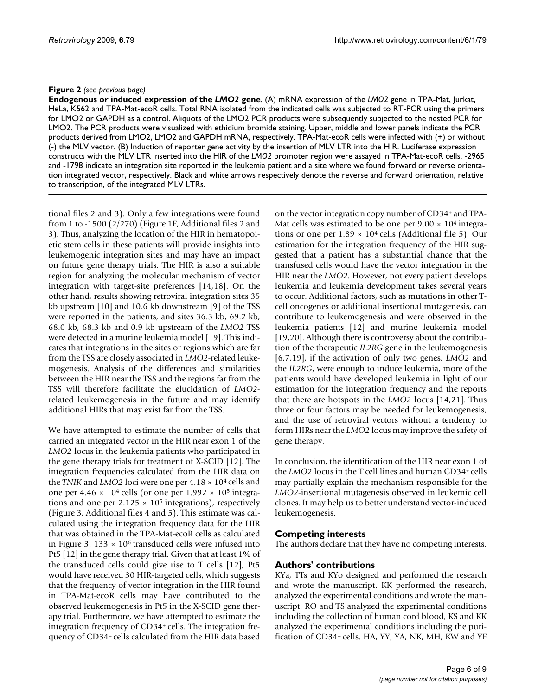#### **Figure 2** (see previous page)

**Endogenous or induced expression of the** *LMO2* **gene**. (A) mRNA expression of the *LMO2* gene in TPA-Mat, Jurkat, HeLa, K562 and TPA-Mat-ecoR cells. Total RNA isolated from the indicated cells was subjected to RT-PCR using the primers for LMO2 or GAPDH as a control. Aliquots of the LMO2 PCR products were subsequently subjected to the nested PCR for LMO2. The PCR products were visualized with ethidium bromide staining. Upper, middle and lower panels indicate the PCR products derived from LMO2, LMO2 and GAPDH mRNA, respectively. TPA-Mat-ecoR cells were infected with (+) or without (-) the MLV vector. (B) Induction of reporter gene activity by the insertion of MLV LTR into the HIR. Luciferase expression constructs with the MLV LTR inserted into the HIR of the *LMO2* promoter region were assayed in TPA-Mat-ecoR cells. -2965 and -1798 indicate an integration site reported in the leukemia patient and a site where we found forward or reverse orientation integrated vector, respectively. Black and white arrows respectively denote the reverse and forward orientation, relative to transcription, of the integrated MLV LTRs.

tional files 2 and 3). Only a few integrations were found from 1 to -1500 (2/270) (Figure 1F, Additional files 2 and 3). Thus, analyzing the location of the HIR in hematopoietic stem cells in these patients will provide insights into leukemogenic integration sites and may have an impact on future gene therapy trials. The HIR is also a suitable region for analyzing the molecular mechanism of vector integration with target-site preferences [14,18]. On the other hand, results showing retroviral integration sites 35 kb upstream [10] and 10.6 kb downstream [9] of the TSS were reported in the patients, and sites 36.3 kb, 69.2 kb, 68.0 kb, 68.3 kb and 0.9 kb upstream of the *LMO2* TSS were detected in a murine leukemia model [19]. This indicates that integrations in the sites or regions which are far from the TSS are closely associated in *LMO2*-related leukemogenesis. Analysis of the differences and similarities between the HIR near the TSS and the regions far from the TSS will therefore facilitate the elucidation of *LMO2* related leukemogenesis in the future and may identify additional HIRs that may exist far from the TSS.

We have attempted to estimate the number of cells that carried an integrated vector in the HIR near exon 1 of the *LMO2* locus in the leukemia patients who participated in the gene therapy trials for treatment of X-SCID [12]. The integration frequencies calculated from the HIR data on the *TNIK* and *LMO2* loci were one per 4.18 × 104 cells and one per  $4.46 \times 10^4$  cells (or one per  $1.992 \times 10^5$  integrations and one per  $2.125 \times 10^5$  integrations), respectively (Figure 3, Additional files 4 and 5). This estimate was calculated using the integration frequency data for the HIR that was obtained in the TPA-Mat-ecoR cells as calculated in Figure 3.  $133 \times 10^6$  transduced cells were infused into Pt5 [12] in the gene therapy trial. Given that at least 1% of the transduced cells could give rise to T cells [12], Pt5 would have received 30 HIR-targeted cells, which suggests that the frequency of vector integration in the HIR found in TPA-Mat-ecoR cells may have contributed to the observed leukemogenesis in Pt5 in the X-SCID gene therapy trial. Furthermore, we have attempted to estimate the integration frequency of CD34+ cells. The integration frequency of CD34+ cells calculated from the HIR data based

on the vector integration copy number of CD34+ and TPA-Mat cells was estimated to be one per  $9.00 \times 10^4$  integrations or one per  $1.89 \times 10^4$  cells (Additional file 5). Our estimation for the integration frequency of the HIR suggested that a patient has a substantial chance that the transfused cells would have the vector integration in the HIR near the *LMO2*. However, not every patient develops leukemia and leukemia development takes several years to occur. Additional factors, such as mutations in other Tcell oncogenes or additional insertional mutagenesis, can contribute to leukemogenesis and were observed in the leukemia patients [12] and murine leukemia model [19,20]. Although there is controversy about the contribution of the therapeutic *IL2RG* gene in the leukemogenesis [6,7,19], if the activation of only two genes, *LMO2* and the *IL2RG*, were enough to induce leukemia, more of the patients would have developed leukemia in light of our estimation for the integration frequency and the reports that there are hotspots in the *LMO2* locus [14,21]. Thus three or four factors may be needed for leukemogenesis, and the use of retroviral vectors without a tendency to form HIRs near the *LMO2* locus may improve the safety of gene therapy.

In conclusion, the identification of the HIR near exon 1 of the *LMO2* locus in the T cell lines and human CD34+ cells may partially explain the mechanism responsible for the *LMO2*-insertional mutagenesis observed in leukemic cell clones. It may help us to better understand vector-induced leukemogenesis.

### **Competing interests**

The authors declare that they have no competing interests.

### **Authors' contributions**

KYa, TTs and KYo designed and performed the research and wrote the manuscript. KK performed the research, analyzed the experimental conditions and wrote the manuscript. RO and TS analyzed the experimental conditions including the collection of human cord blood, KS and KK analyzed the experimental conditions including the purification of CD34+ cells. HA, YY, YA, NK, MH, KW and YF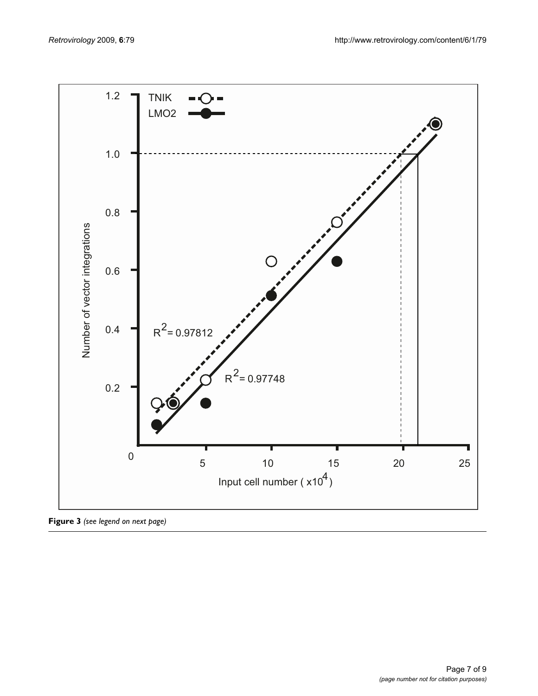

**Figure 3** *(see legend on next page)*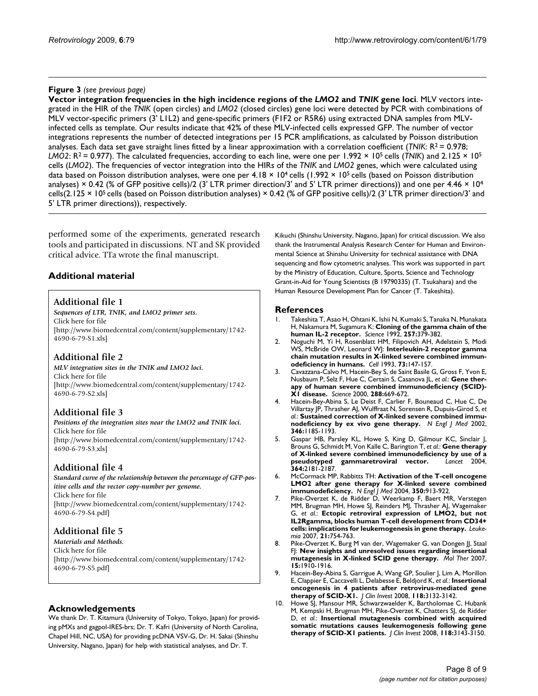#### **Figure 3** (see previous page)

**Vector integration frequencies in the high incidence regions of the** *LMO2* **and** *TNIK* **gene loci**. MLV vectors integrated in the HIR of the *TNIK* (open circles) and *LMO2* (closed circles) gene loci were detected by PCR with combinations of MLV vector-specific primers (3' L1L2) and gene-specific primers (F1F2 or R5R6) using extracted DNA samples from MLVinfected cells as template. Our results indicate that 42% of these MLV-infected cells expressed GFP. The number of vector integrations represents the number of detected integrations per 15 PCR amplifications, as calculated by Poisson distribution analyses. Each data set gave straight lines fitted by a linear approximation with a correlation coefficient ( $TNIK: R^2 = 0.978$ ; *LMO2*: R2 = 0.977). The calculated frequencies, according to each line, were one per 1.992 × 105 cells (*TNIK*) and 2.125 × 105 cells (*LMO2*). The frequencies of vector integration into the HIRs of the *TNIK* and *LMO2* genes, which were calculated using data based on Poisson distribution analyses, were one per  $4.18 \times 10^4$  cells (1.992  $\times$  10<sup>5</sup> cells (based on Poisson distribution analyses) × 0.42 (% of GFP positive cells)/2 (3' LTR primer direction/3' and 5' LTR primer directions)) and one per 4.46 × 10<sup>4</sup> cells(2.125 × 10<sup>5</sup> cells (based on Poisson distribution analyses) × 0.42 (% of GFP positive cells)/2 (3' LTR primer direction/3' and 5' LTR primer directions)), respectively.

performed some of the experiments, generated research tools and participated in discussions. NT and SK provided critical advice. TTa wrote the final manuscript.

# **Additional material**

### **Additional file 1**

*Sequences of LTR, TNIK, and LMO2 primer sets.* Click here for file [\[http://www.biomedcentral.com/content/supplementary/1742-](http://www.biomedcentral.com/content/supplementary/1742-4690-6-79-S1.xls) 4690-6-79-S1.xls]

# **Additional file 2**

*MLV integration sites in the TNIK and LMO2 loci.* Click here for file [\[http://www.biomedcentral.com/content/supplementary/1742-](http://www.biomedcentral.com/content/supplementary/1742-4690-6-79-S2.xls) 4690-6-79-S2.xls]

# **Additional file 3**

*Positions of the integration sites near the LMO2 and TNIK loci.* Click here for file [\[http://www.biomedcentral.com/content/supplementary/1742-](http://www.biomedcentral.com/content/supplementary/1742-4690-6-79-S3.xls) 4690-6-79-S3.xls]

# **Additional file 4**

*Standard curve of the relationship between the percentage of GFP-positive cells and the vector copy-number per genome.* Click here for file [\[http://www.biomedcentral.com/content/supplementary/1742-](http://www.biomedcentral.com/content/supplementary/1742-4690-6-79-S4.pdf) 4690-6-79-S4.pdf]

# **Additional file 5**

*Materials and Methods.* Click here for file [\[http://www.biomedcentral.com/content/supplementary/1742-](http://www.biomedcentral.com/content/supplementary/1742-4690-6-79-S5.pdf) 4690-6-79-S5.pdf]

### **Acknowledgements**

We thank Dr. T. Kitamura (University of Tokyo, Tokyo, Japan) for providing pMXs and gagpol-IRES-brs; Dr. T. Kafri (University of North Carolina, Chapel Hill, NC, USA) for providing pcDNA VSV-G, Dr. H. Sakai (Shinshu University, Nagano, Japan) for help with statistical analyses, and Dr. T.

Kikuchi (Shinshu University, Nagano, Japan) for critical discussion. We also thank the Instrumental Analysis Research Center for Human and Environmental Science at Shinshu University for technical assistance with DNA sequencing and flow cytometric analyses. This work was supported in part by the Ministry of Education, Culture, Sports, Science and Technology Grant-in-Aid for Young Scientists (B 19790335) (T. Tsukahara) and the Human Resource Development Plan for Cancer (T. Takeshita).

#### **References**

- 1. Takeshita T, Asao H, Ohtani K, Ishii N, Kumaki S, Tanaka N, Munakata H, Nakamura M, Sugamura K: **[Cloning of the gamma chain of the](http://www.ncbi.nlm.nih.gov/entrez/query.fcgi?cmd=Retrieve&db=PubMed&dopt=Abstract&list_uids=1631559) [human IL-2 receptor.](http://www.ncbi.nlm.nih.gov/entrez/query.fcgi?cmd=Retrieve&db=PubMed&dopt=Abstract&list_uids=1631559)** *Science* 1992, **257:**379-382.
- 2. Noguchi M, Yi H, Rosenblatt HM, Filipovich AH, Adelstein S, Modi WS, McBride OW, Leonard WJ: **[Interleukin-2 receptor gamma](http://www.ncbi.nlm.nih.gov/entrez/query.fcgi?cmd=Retrieve&db=PubMed&dopt=Abstract&list_uids=8462096) [chain mutation results in X-linked severe combined immun](http://www.ncbi.nlm.nih.gov/entrez/query.fcgi?cmd=Retrieve&db=PubMed&dopt=Abstract&list_uids=8462096)[odeficiency in humans.](http://www.ncbi.nlm.nih.gov/entrez/query.fcgi?cmd=Retrieve&db=PubMed&dopt=Abstract&list_uids=8462096)** *Cell* 1993, **73:**147-157.
- 3. Cavazzana-Calvo M, Hacein-Bey S, de Saint Basile G, Gross F, Yvon E, Nusbaum P, Selz F, Hue C, Certain S, Casanova JL, *et al.*: **[Gene ther](http://www.ncbi.nlm.nih.gov/entrez/query.fcgi?cmd=Retrieve&db=PubMed&dopt=Abstract&list_uids=10784449)[apy of human severe combined immunodeficiency \(SCID\)-](http://www.ncbi.nlm.nih.gov/entrez/query.fcgi?cmd=Retrieve&db=PubMed&dopt=Abstract&list_uids=10784449) [X1 disease.](http://www.ncbi.nlm.nih.gov/entrez/query.fcgi?cmd=Retrieve&db=PubMed&dopt=Abstract&list_uids=10784449)** *Science* 2000, **288:**669-672.
- 4. Hacein-Bey-Abina S, Le Deist F, Carlier F, Bouneaud C, Hue C, De Villartay JP, Thrasher AJ, Wulffraat N, Sorensen R, Dupuis-Girod S, *et al.*: **[Sustained correction of X-linked severe combined immu](http://www.ncbi.nlm.nih.gov/entrez/query.fcgi?cmd=Retrieve&db=PubMed&dopt=Abstract&list_uids=11961146)[nodeficiency by ex vivo gene therapy.](http://www.ncbi.nlm.nih.gov/entrez/query.fcgi?cmd=Retrieve&db=PubMed&dopt=Abstract&list_uids=11961146)** *N Engl J Med* 2002, **346:**1185-1193.
- 5. Gaspar HB, Parsley KL, Howe S, King D, Gilmour KC, Sinclair J, Brouns G, Schmidt M, Von Kalle C, Barington T, *et al.*: **[Gene therapy](http://www.ncbi.nlm.nih.gov/entrez/query.fcgi?cmd=Retrieve&db=PubMed&dopt=Abstract&list_uids=15610804) [of X-linked severe combined immunodeficiency by use of a](http://www.ncbi.nlm.nih.gov/entrez/query.fcgi?cmd=Retrieve&db=PubMed&dopt=Abstract&list_uids=15610804)** [pseudotyped gammaretroviral vector.](http://www.ncbi.nlm.nih.gov/entrez/query.fcgi?cmd=Retrieve&db=PubMed&dopt=Abstract&list_uids=15610804) **364:**2181-2187.
- 6. McCormack MP, Rabbitts TH: **[Activation of the T-cell oncogene](http://www.ncbi.nlm.nih.gov/entrez/query.fcgi?cmd=Retrieve&db=PubMed&dopt=Abstract&list_uids=14985489) [LMO2 after gene therapy for X-linked severe combined](http://www.ncbi.nlm.nih.gov/entrez/query.fcgi?cmd=Retrieve&db=PubMed&dopt=Abstract&list_uids=14985489) [immunodeficiency.](http://www.ncbi.nlm.nih.gov/entrez/query.fcgi?cmd=Retrieve&db=PubMed&dopt=Abstract&list_uids=14985489)** *N Engl J Med* 2004, **350:**913-922.
- 7. Pike-Overzet K, de Ridder D, Weerkamp F, Baert MR, Verstegen MM, Brugman MH, Howe SJ, Reinders MJ, Thrasher AJ, Wagemaker G, *et al.*: **[Ectopic retroviral expression of LMO2, but not](http://www.ncbi.nlm.nih.gov/entrez/query.fcgi?cmd=Retrieve&db=PubMed&dopt=Abstract&list_uids=17268520) [IL2Rgamma, blocks human T-cell development from CD34+](http://www.ncbi.nlm.nih.gov/entrez/query.fcgi?cmd=Retrieve&db=PubMed&dopt=Abstract&list_uids=17268520) [cells: implications for leukemogenesis in gene therapy.](http://www.ncbi.nlm.nih.gov/entrez/query.fcgi?cmd=Retrieve&db=PubMed&dopt=Abstract&list_uids=17268520)** *Leukemia* 2007, **21:**754-763.
- 8. Pike-Overzet K, Burg M van der, Wagemaker G, van Dongen JJ, Staal FJ: **[New insights and unresolved issues regarding insertional](http://www.ncbi.nlm.nih.gov/entrez/query.fcgi?cmd=Retrieve&db=PubMed&dopt=Abstract&list_uids=17726455) [mutagenesis in X-linked SCID gene therapy.](http://www.ncbi.nlm.nih.gov/entrez/query.fcgi?cmd=Retrieve&db=PubMed&dopt=Abstract&list_uids=17726455)** *Mol Ther* 2007, **15:**1910-1916.
- 9. Hacein-Bey-Abina S, Garrigue A, Wang GP, Soulier J, Lim A, Morillon E, Clappier E, Caccavelli L, Delabesse E, Beldjord K, *et al.*: **[Insertional](http://www.ncbi.nlm.nih.gov/entrez/query.fcgi?cmd=Retrieve&db=PubMed&dopt=Abstract&list_uids=18688285) [oncogenesis in 4 patients after retrovirus-mediated gene](http://www.ncbi.nlm.nih.gov/entrez/query.fcgi?cmd=Retrieve&db=PubMed&dopt=Abstract&list_uids=18688285) [therapy of SCID-X1.](http://www.ncbi.nlm.nih.gov/entrez/query.fcgi?cmd=Retrieve&db=PubMed&dopt=Abstract&list_uids=18688285)** *J Clin Invest* 2008, **118:**3132-3142.
- 10. Howe SJ, Mansour MR, Schwarzwaelder K, Bartholomae C, Hubank M, Kempski H, Brugman MH, Pike-Overzet K, Chatters SJ, de Ridder D, *et al.*: **[Insertional mutagenesis combined with acquired](http://www.ncbi.nlm.nih.gov/entrez/query.fcgi?cmd=Retrieve&db=PubMed&dopt=Abstract&list_uids=18688286) [somatic mutations causes leukemogenesis following gene](http://www.ncbi.nlm.nih.gov/entrez/query.fcgi?cmd=Retrieve&db=PubMed&dopt=Abstract&list_uids=18688286) [therapy of SCID-X1 patients.](http://www.ncbi.nlm.nih.gov/entrez/query.fcgi?cmd=Retrieve&db=PubMed&dopt=Abstract&list_uids=18688286)** *J Clin Invest* 2008, **118:**3143-3150.